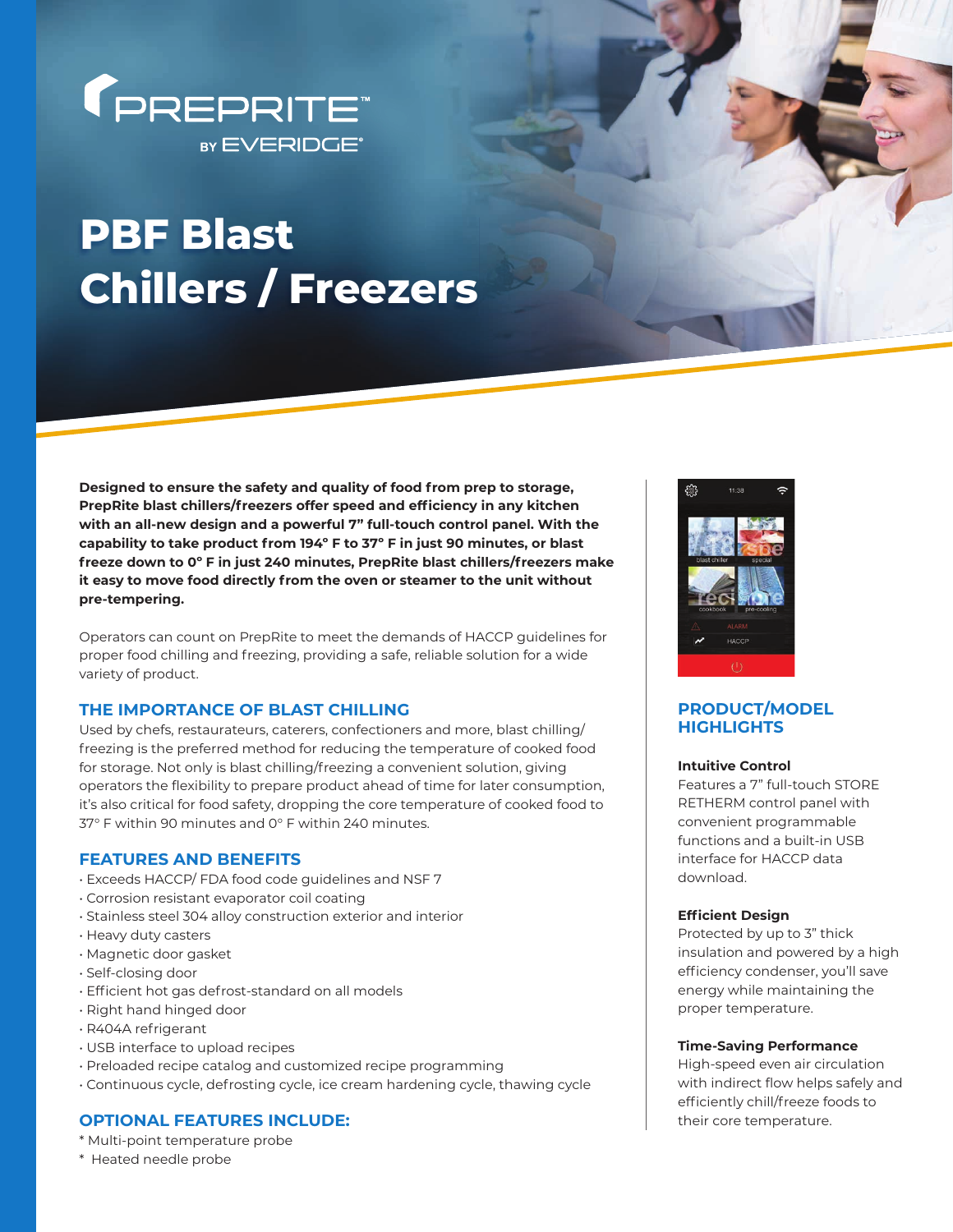

# **PBF Blast Chillers / Freezers**

**Designed to ensure the safety and quality of food from prep to storage,**  PrepRite blast chillers/freezers offer speed and efficiency in any kitchen **with an all-new design and a powerful 7" full-touch control panel. With the capability to take product from 194º F to 37º F in just 90 minutes, or blast freeze down to 0º F in just 240 minutes, PrepRite blast chillers/freezers make it easy to move food directly from the oven or steamer to the unit without pre-tempering.**

Operators can count on PrepRite to meet the demands of HACCP guidelines for proper food chilling and freezing, providing a safe, reliable solution for a wide variety of product.

# **THE IMPORTANCE OF BLAST CHILLING**

Used by chefs, restaurateurs, caterers, confectioners and more, blast chilling/ freezing is the preferred method for reducing the temperature of cooked food for storage. Not only is blast chilling/freezing a convenient solution, giving operators the flexibility to prepare product ahead of time for later consumption, it's also critical for food safety, dropping the core temperature of cooked food to 37° F within 90 minutes and 0° F within 240 minutes.

# **FEATURES AND BENEFITS**

- Exceeds HACCP/ FDA food code guidelines and NSF 7
- Corrosion resistant evaporator coil coating
- Stainless steel 304 alloy construction exterior and interior
- Heavy duty casters
- Magnetic door gasket
- Self-closing door
- Effi cient hot gas defrost-standard on all models
- Right hand hinged door
- R404A refrigerant
- USB interface to upload recipes
- Preloaded recipe catalog and customized recipe programming
- Continuous cycle, defrosting cycle, ice cream hardening cycle, thawing cycle

# **OPTIONAL FEATURES INCLUDE:**

- \* Multi-point temperature probe
- \* Heated needle probe



# **PRODUCT/MODEL HIGHLIGHTS**

#### **Intuitive Control**

Features a 7" full-touch STORE RETHERM control panel with convenient programmable functions and a built-in USB interface for HACCP data download.

### **Efficient Design**

Protected by up to 3" thick insulation and powered by a high efficiency condenser, you'll save energy while maintaining the proper temperature.

#### **Time-Saving Performance**

High-speed even air circulation with indirect flow helps safely and efficiently chill/freeze foods to their core temperature.